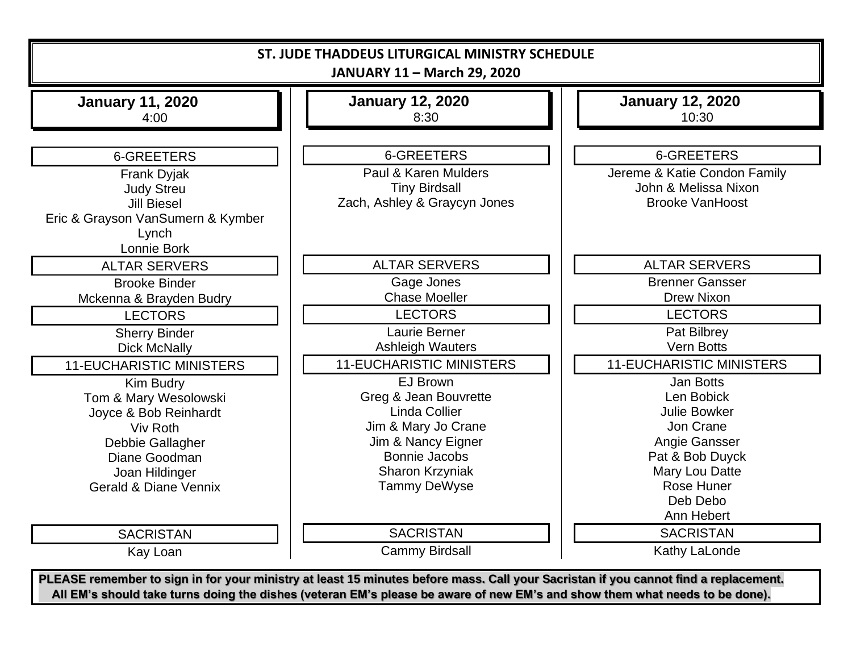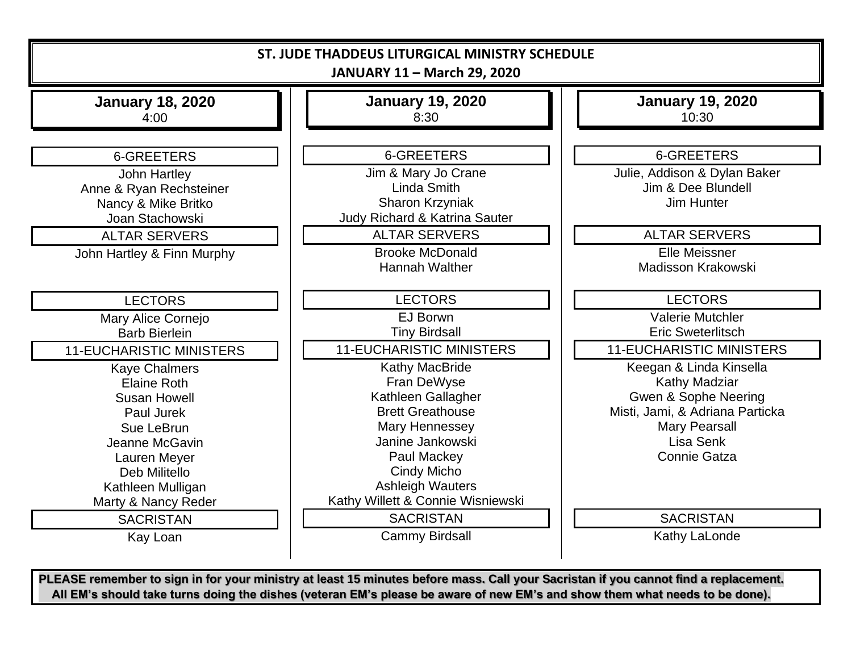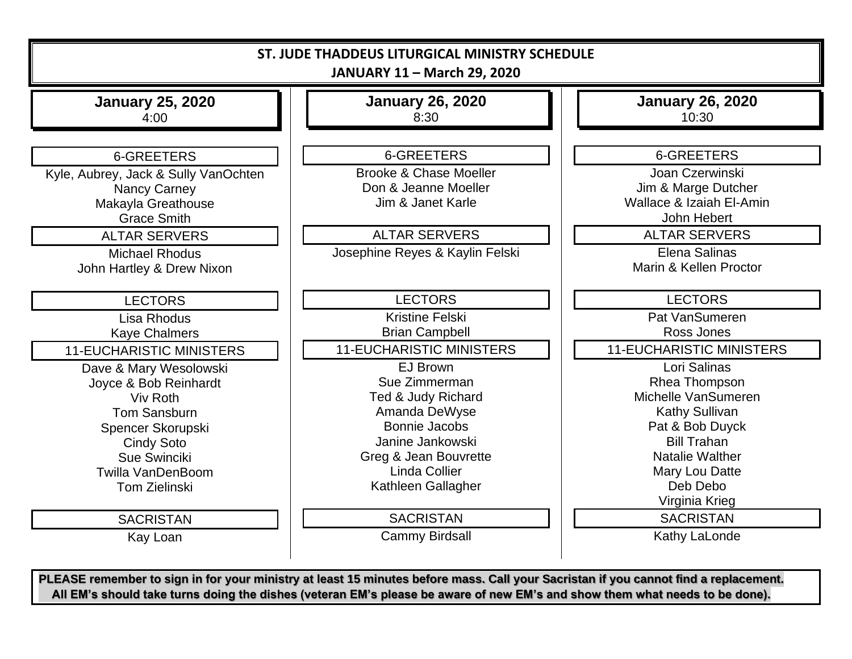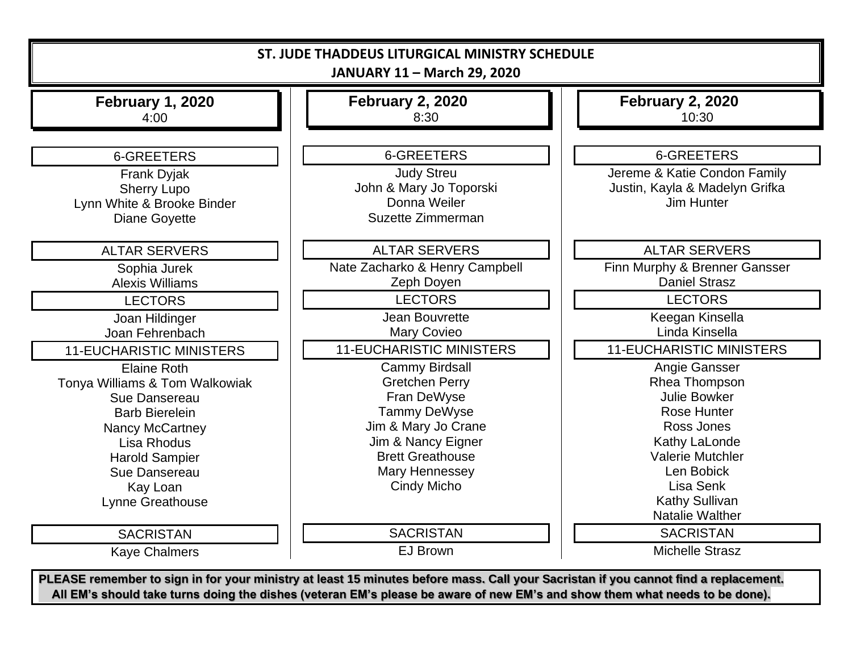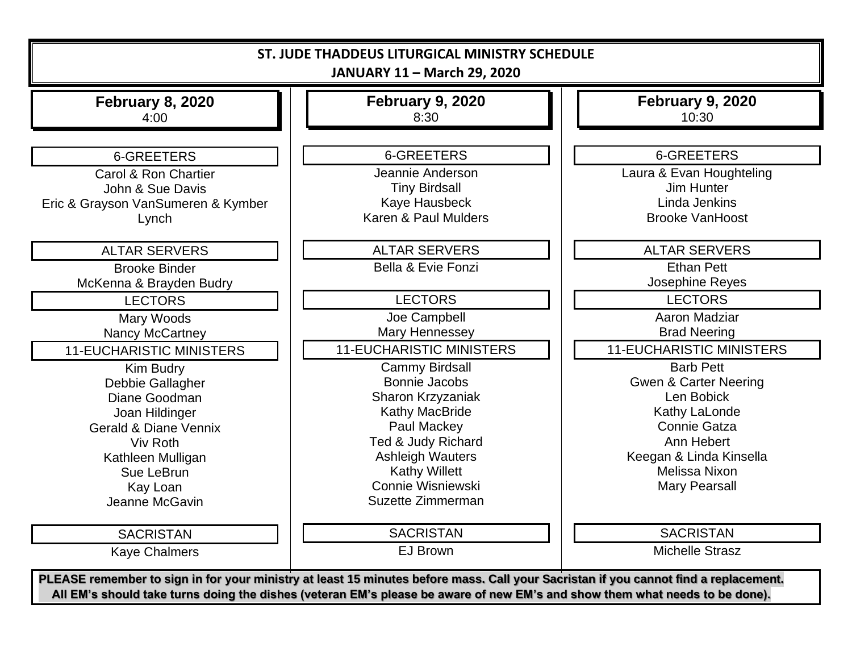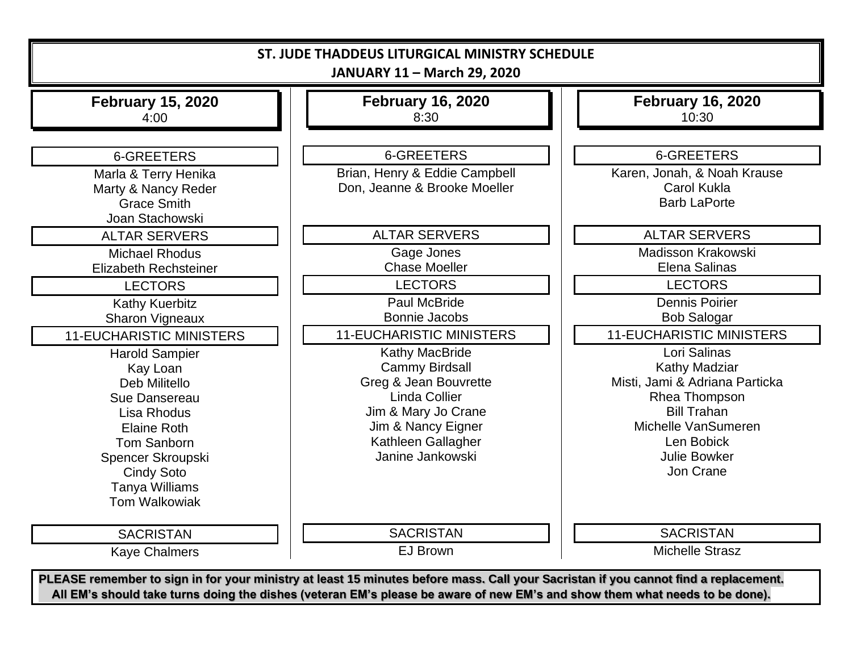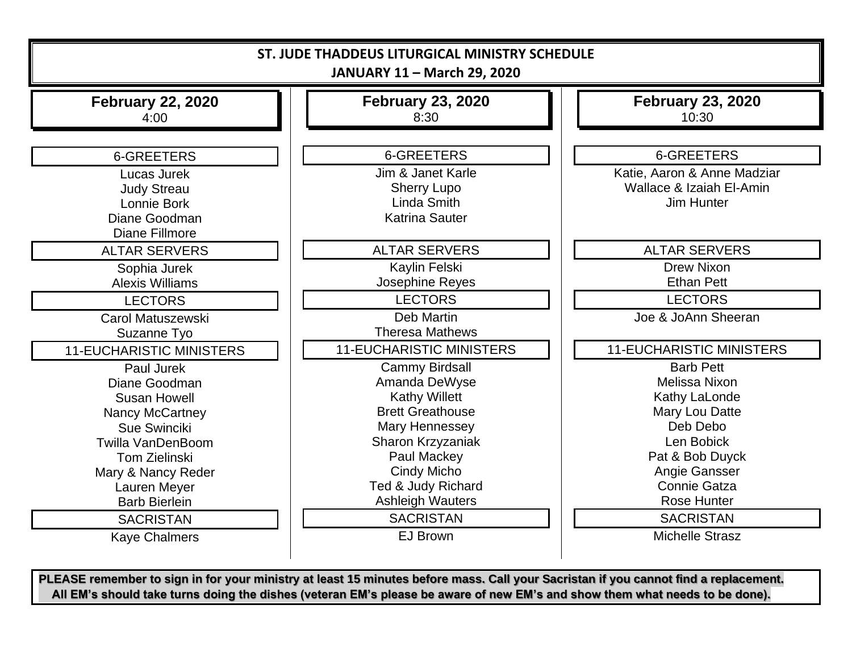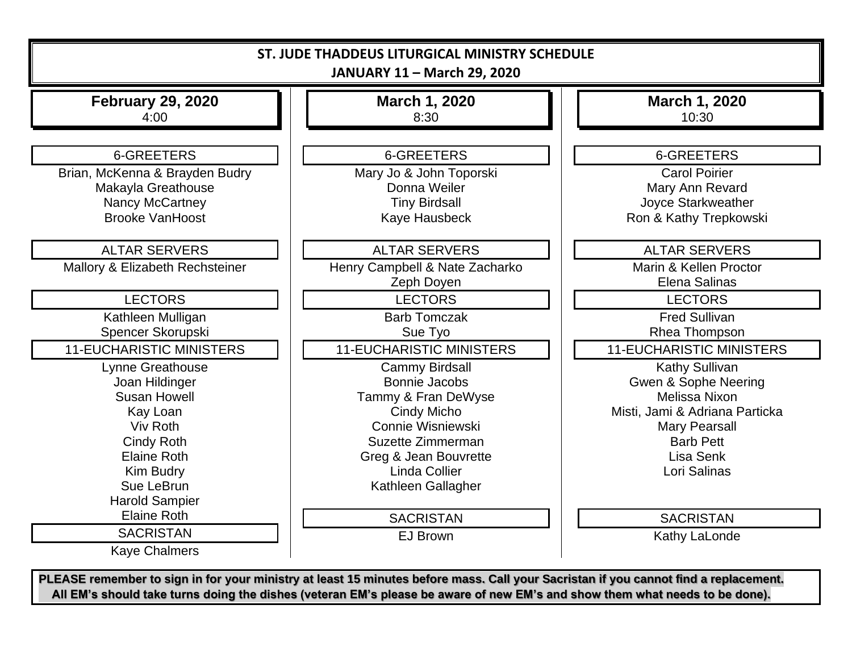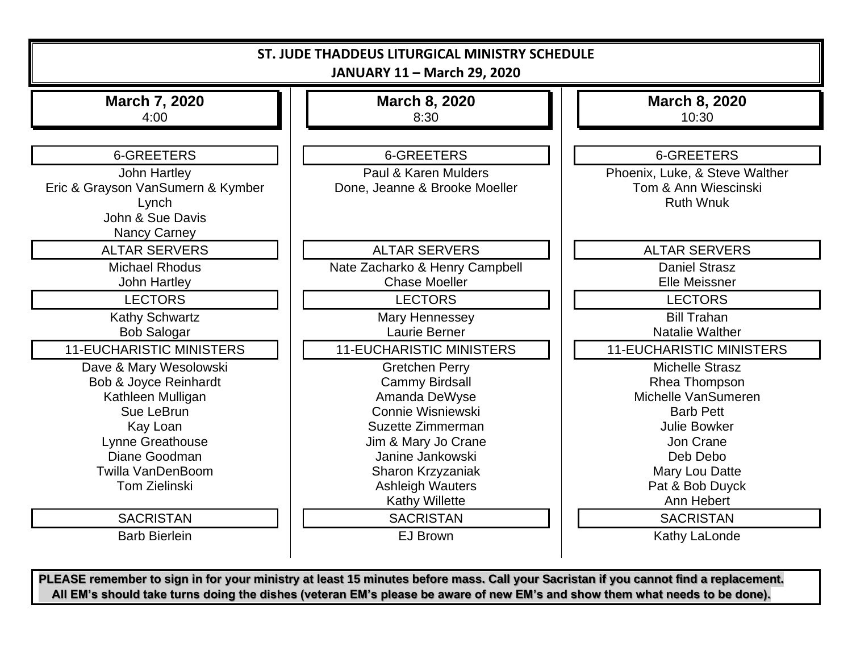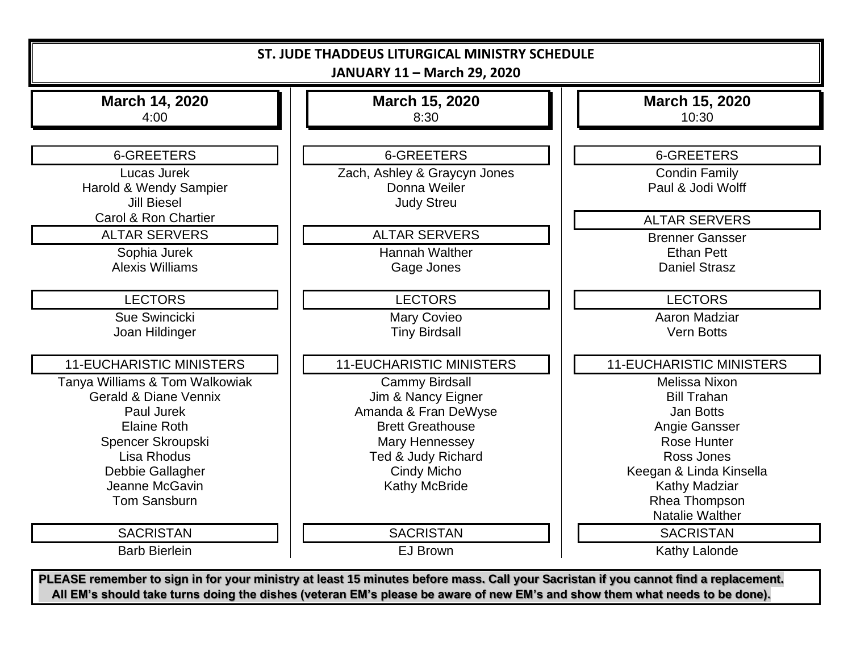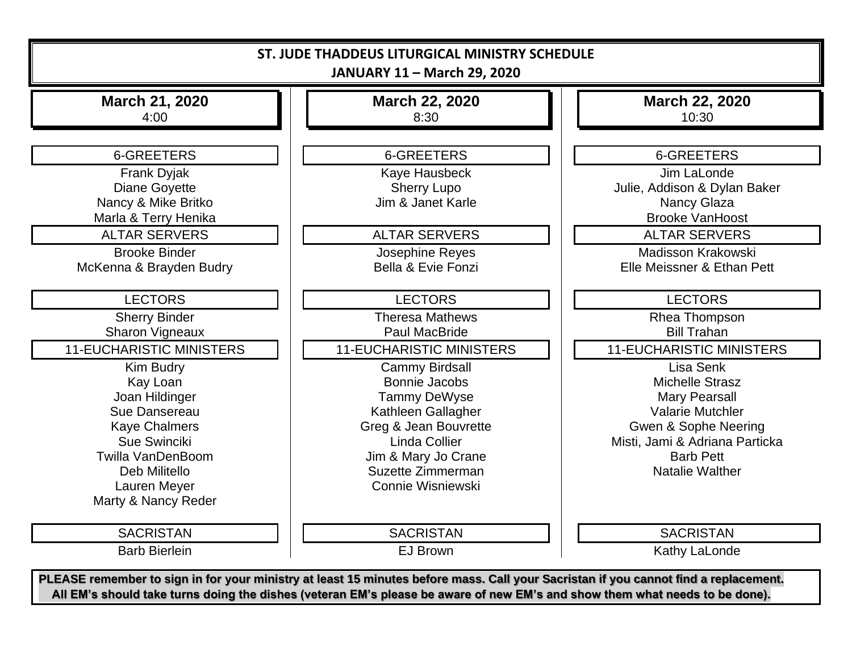